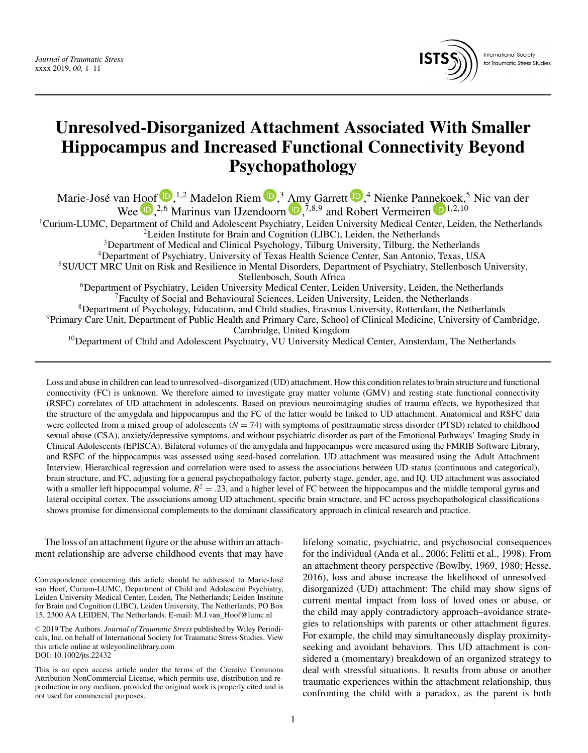*Journal of Traumatic Stress* xxxx 2019, *00,* 1–11



**International Society** for Traumatic Stress Studies

# **Unresolved-Disorganized Attachment Associated With Smaller Hippocampus and Increased Functional Connectivity Beyond Psychopathology**

Marie-José van [Hoof](https://orcid.org/0000-0003-3235-1633)  $\mathbf{D}$ [,](https://orcid.org/0000-0002-3856-7825)<sup>1,2</sup> Madelon Riem  $\mathbf{D}$ ,<sup>3</sup> [Am](https://orcid.org/0000-0003-1144-454X)y Garrett  $\mathbf{D}$ ,<sup>4</sup> Nienke Pan[neko](https://orcid.org/0000-0002-8673-2207)ek,<sup>5</sup> Nic van der Wee  $\mathbf{D}^{2,6}$  Marinus van IJzendoorn  $\mathbf{D}^{7,8,9}$  and Robert Vermeiren  $\mathbf{D}^{1,2,10}$ <sup>1</sup>Curium-LUMC, Department of Child and Adolescent Psychiatry, Leiden University Medical Center, Leiden, the Netherlands  ${}^{2}$ Leiden Institute for Brain and Cognition (LIBC), Leiden, the Netherlands <sup>3</sup>Department of Medical and Clinical Psychology, Tilburg University, Tilburg, the Netherlands 4Department of Psychiatry, University of Texas Health Science Center, San Antonio, Texas, USA 5SU/UCT MRC Unit on Risk and Resilience in Mental Disorders, Department of Psychiatry, Stellenbosch University, Stellenbosch, South Africa 6Department of Psychiatry, Leiden University Medical Center, Leiden University, Leiden, the Netherlands  $7$ Faculty of Social and Behavioural Sciences, Leiden University, Leiden, the Netherlands 8Department of Psychology, Education, and Child studies, Erasmus University, Rotterdam, the Netherlands 9Primary Care Unit, Department of Public Health and Primary Care, School of Clinical Medicine, University of Cambridge, Cambridge, United Kingdom <sup>10</sup>Department of Child and Adolescent Psychiatry, VU University Medical Center, Amsterdam, The Netherlands

Loss and abuse in children can lead to unresolved–disorganized (UD) attachment. How this condition relates to brain structure and functional connectivity (FC) is unknown. We therefore aimed to investigate gray matter volume (GMV) and resting state functional connectivity (RSFC) correlates of UD attachment in adolescents. Based on previous neuroimaging studies of trauma effects, we hypothesized that the structure of the amygdala and hippocampus and the FC of the latter would be linked to UD attachment. Anatomical and RSFC data were collected from a mixed group of adolescents  $(N = 74)$  with symptoms of posttraumatic stress disorder (PTSD) related to childhood sexual abuse (CSA), anxiety/depressive symptoms, and without psychiatric disorder as part of the Emotional Pathways' Imaging Study in Clinical Adolescents (EPISCA). Bilateral volumes of the amygdala and hippocampus were measured using the FMRIB Software Library, and RSFC of the hippocampus was assessed using seed-based correlation. UD attachment was measured using the Adult Attachment Interview. Hierarchical regression and correlation were used to assess the associations between UD status (continuous and categorical), brain structure, and FC, adjusting for a general psychopathology factor, puberty stage, gender, age, and IQ. UD attachment was associated with a smaller left hippocampal volume,  $R^2 = .23$ , and a higher level of FC between the hippocampus and the middle temporal gyrus and lateral occipital cortex. The associations among UD attachment, specific brain structure, and FC across psychopathological classifications shows promise for dimensional complements to the dominant classificatory approach in clinical research and practice.

The loss of an attachment figure or the abuse within an attachment relationship are adverse childhood events that may have lifelong somatic, psychiatric, and psychosocial consequences for the individual (Anda et al., 2006; Felitti et al., 1998). From an attachment theory perspective (Bowlby, 1969, 1980; Hesse, 2016), loss and abuse increase the likelihood of unresolved– disorganized (UD) attachment: The child may show signs of current mental impact from loss of loved ones or abuse, or the child may apply contradictory approach–avoidance strategies to relationships with parents or other attachment figures. For example, the child may simultaneously display proximityseeking and avoidant behaviors. This UD attachment is considered a (momentary) breakdown of an organized strategy to deal with stressful situations. It results from abuse or another traumatic experiences within the attachment relationship, thus confronting the child with a paradox, as the parent is both

Correspondence concerning this article should be addressed to Marie-Jose´ van Hoof, Curium-LUMC, Department of Child and Adolescent Psychiatry, Leiden University Medical Center, Leiden, The Netherlands; Leiden Institute for Brain and Cognition (LIBC), Leiden University, The Netherlands; PO Box 15, 2300 AA LEIDEN, The Netherlands. E-mail: M.J.van\_Hoof@lumc.nl

 $© 2019$  The Authors. *Journal of Traumatic Stress* published by Wiley Periodicals, Inc. on behalf of International Society for Traumatic Stress Studies. View this article online at wileyonlinelibrary.com DOI: 10.1002/jts.22432

This is an open access article under the terms of the Creative Commons Attribution-NonCommercial License, which permits use, distribution and reproduction in any medium, provided the original work is properly cited and is not used for commercial purposes.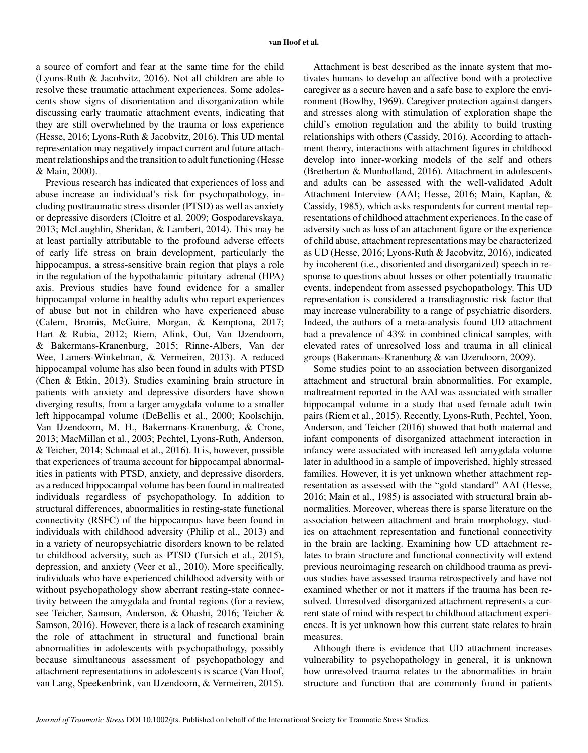a source of comfort and fear at the same time for the child (Lyons-Ruth & Jacobvitz, 2016). Not all children are able to resolve these traumatic attachment experiences. Some adolescents show signs of disorientation and disorganization while discussing early traumatic attachment events, indicating that they are still overwhelmed by the trauma or loss experience (Hesse, 2016; Lyons-Ruth & Jacobvitz, 2016). This UD mental representation may negatively impact current and future attachment relationships and the transition to adult functioning (Hesse & Main, 2000).

Previous research has indicated that experiences of loss and abuse increase an individual's risk for psychopathology, including posttraumatic stress disorder (PTSD) as well as anxiety or depressive disorders (Cloitre et al. 2009; Gospodarevskaya, 2013; McLaughlin, Sheridan, & Lambert, 2014). This may be at least partially attributable to the profound adverse effects of early life stress on brain development, particularly the hippocampus, a stress-sensitive brain region that plays a role in the regulation of the hypothalamic–pituitary–adrenal (HPA) axis. Previous studies have found evidence for a smaller hippocampal volume in healthy adults who report experiences of abuse but not in children who have experienced abuse (Calem, Bromis, McGuire, Morgan, & Kemptona, 2017; Hart & Rubia, 2012; Riem, Alink, Out, Van IJzendoorn, & Bakermans-Kranenburg, 2015; Rinne-Albers, Van der Wee, Lamers-Winkelman, & Vermeiren, 2013). A reduced hippocampal volume has also been found in adults with PTSD (Chen & Etkin, 2013). Studies examining brain structure in patients with anxiety and depressive disorders have shown diverging results, from a larger amygdala volume to a smaller left hippocampal volume (DeBellis et al., 2000; Koolschijn, Van IJzendoorn, M. H., Bakermans-Kranenburg, & Crone, 2013; MacMillan et al., 2003; Pechtel, Lyons-Ruth, Anderson, & Teicher, 2014; Schmaal et al., 2016). It is, however, possible that experiences of trauma account for hippocampal abnormalities in patients with PTSD, anxiety, and depressive disorders, as a reduced hippocampal volume has been found in maltreated individuals regardless of psychopathology. In addition to structural differences, abnormalities in resting-state functional connectivity (RSFC) of the hippocampus have been found in individuals with childhood adversity (Philip et al., 2013) and in a variety of neuropsychiatric disorders known to be related to childhood adversity, such as PTSD (Tursich et al., 2015), depression, and anxiety (Veer et al., 2010). More specifically, individuals who have experienced childhood adversity with or without psychopathology show aberrant resting-state connectivity between the amygdala and frontal regions (for a review, see Teicher, Samson, Anderson, & Ohashi, 2016; Teicher & Samson, 2016). However, there is a lack of research examining the role of attachment in structural and functional brain abnormalities in adolescents with psychopathology, possibly because simultaneous assessment of psychopathology and attachment representations in adolescents is scarce (Van Hoof, van Lang, Speekenbrink, van IJzendoorn, & Vermeiren, 2015).

Attachment is best described as the innate system that motivates humans to develop an affective bond with a protective caregiver as a secure haven and a safe base to explore the environment (Bowlby, 1969). Caregiver protection against dangers and stresses along with stimulation of exploration shape the child's emotion regulation and the ability to build trusting relationships with others (Cassidy, 2016). According to attachment theory, interactions with attachment figures in childhood develop into inner-working models of the self and others (Bretherton & Munholland, 2016). Attachment in adolescents and adults can be assessed with the well-validated Adult Attachment Interview (AAI; Hesse, 2016; Main, Kaplan, & Cassidy, 1985), which asks respondents for current mental representations of childhood attachment experiences. In the case of adversity such as loss of an attachment figure or the experience of child abuse, attachment representations may be characterized as UD (Hesse, 2016; Lyons-Ruth & Jacobvitz, 2016), indicated by incoherent (i.e., disoriented and disorganized) speech in response to questions about losses or other potentially traumatic events, independent from assessed psychopathology. This UD representation is considered a transdiagnostic risk factor that may increase vulnerability to a range of psychiatric disorders. Indeed, the authors of a meta-analysis found UD attachment had a prevalence of 43% in combined clinical samples, with elevated rates of unresolved loss and trauma in all clinical groups (Bakermans-Kranenburg & van IJzendoorn, 2009).

Some studies point to an association between disorganized attachment and structural brain abnormalities. For example, maltreatment reported in the AAI was associated with smaller hippocampal volume in a study that used female adult twin pairs (Riem et al., 2015). Recently, Lyons-Ruth, Pechtel, Yoon, Anderson, and Teicher (2016) showed that both maternal and infant components of disorganized attachment interaction in infancy were associated with increased left amygdala volume later in adulthood in a sample of impoverished, highly stressed families. However, it is yet unknown whether attachment representation as assessed with the "gold standard" AAI (Hesse, 2016; Main et al., 1985) is associated with structural brain abnormalities. Moreover, whereas there is sparse literature on the association between attachment and brain morphology, studies on attachment representation and functional connectivity in the brain are lacking. Examining how UD attachment relates to brain structure and functional connectivity will extend previous neuroimaging research on childhood trauma as previous studies have assessed trauma retrospectively and have not examined whether or not it matters if the trauma has been resolved. Unresolved–disorganized attachment represents a current state of mind with respect to childhood attachment experiences. It is yet unknown how this current state relates to brain measures.

Although there is evidence that UD attachment increases vulnerability to psychopathology in general, it is unknown how unresolved trauma relates to the abnormalities in brain structure and function that are commonly found in patients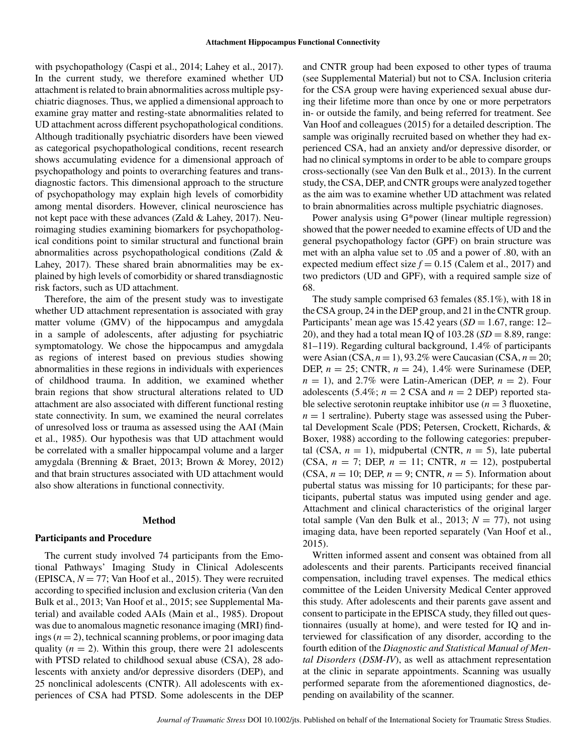with psychopathology (Caspi et al., 2014; Lahey et al., 2017). In the current study, we therefore examined whether UD attachment is related to brain abnormalities across multiple psychiatric diagnoses. Thus, we applied a dimensional approach to examine gray matter and resting-state abnormalities related to UD attachment across different psychopathological conditions. Although traditionally psychiatric disorders have been viewed as categorical psychopathological conditions, recent research shows accumulating evidence for a dimensional approach of psychopathology and points to overarching features and transdiagnostic factors. This dimensional approach to the structure of psychopathology may explain high levels of comorbidity among mental disorders. However, clinical neuroscience has not kept pace with these advances (Zald & Lahey, 2017). Neuroimaging studies examining biomarkers for psychopathological conditions point to similar structural and functional brain abnormalities across psychopathological conditions (Zald & Lahey, 2017). These shared brain abnormalities may be explained by high levels of comorbidity or shared transdiagnostic risk factors, such as UD attachment.

Therefore, the aim of the present study was to investigate whether UD attachment representation is associated with gray matter volume (GMV) of the hippocampus and amygdala in a sample of adolescents, after adjusting for psychiatric symptomatology. We chose the hippocampus and amygdala as regions of interest based on previous studies showing abnormalities in these regions in individuals with experiences of childhood trauma. In addition, we examined whether brain regions that show structural alterations related to UD attachment are also associated with different functional resting state connectivity. In sum, we examined the neural correlates of unresolved loss or trauma as assessed using the AAI (Main et al., 1985). Our hypothesis was that UD attachment would be correlated with a smaller hippocampal volume and a larger amygdala (Brenning & Braet, 2013; Brown & Morey, 2012) and that brain structures associated with UD attachment would also show alterations in functional connectivity.

## **Method**

# **Participants and Procedure**

The current study involved 74 participants from the Emotional Pathways' Imaging Study in Clinical Adolescents  $(EPISCA, N = 77$ ; Van Hoof et al., 2015). They were recruited according to specified inclusion and exclusion criteria (Van den Bulk et al., 2013; Van Hoof et al., 2015; see Supplemental Material) and available coded AAIs (Main et al., 1985). Dropout was due to anomalous magnetic resonance imaging (MRI) findings (*n* = 2), technical scanning problems, or poor imaging data quality  $(n = 2)$ . Within this group, there were 21 adolescents with PTSD related to childhood sexual abuse (CSA), 28 adolescents with anxiety and/or depressive disorders (DEP), and 25 nonclinical adolescents (CNTR). All adolescents with experiences of CSA had PTSD. Some adolescents in the DEP and CNTR group had been exposed to other types of trauma (see Supplemental Material) but not to CSA. Inclusion criteria for the CSA group were having experienced sexual abuse during their lifetime more than once by one or more perpetrators in- or outside the family, and being referred for treatment. See Van Hoof and colleagues (2015) for a detailed description. The sample was originally recruited based on whether they had experienced CSA, had an anxiety and/or depressive disorder, or had no clinical symptoms in order to be able to compare groups cross-sectionally (see Van den Bulk et al., 2013). In the current study, the CSA, DEP, and CNTR groups were analyzed together as the aim was to examine whether UD attachment was related to brain abnormalities across multiple psychiatric diagnoses.

Power analysis using G\*power (linear multiple regression) showed that the power needed to examine effects of UD and the general psychopathology factor (GPF) on brain structure was met with an alpha value set to .05 and a power of .80, with an expected medium effect size  $f = 0.15$  (Calem et al., 2017) and two predictors (UD and GPF), with a required sample size of 68.

The study sample comprised 63 females (85.1%), with 18 in the CSA group, 24 in the DEP group, and 21 in the CNTR group. Participants' mean age was  $15.42$  years (*SD* = 1.67, range: 12– 20), and they had a total mean IQ of  $103.28$  ( $SD = 8.89$ , range: 81–119). Regarding cultural background, 1.4% of participants were Asian (CSA, *n* = 1), 93.2% were Caucasian (CSA, *n* = 20; DEP, *n* = 25; CNTR, *n* = 24), 1.4% were Surinamese (DEP,  $n = 1$ , and 2.7% were Latin-American (DEP,  $n = 2$ ). Four adolescents (5.4%;  $n = 2$  CSA and  $n = 2$  DEP) reported stable selective serotonin reuptake inhibitor use  $(n = 3$  fluoxetine,  $n = 1$  sertraline). Puberty stage was assessed using the Pubertal Development Scale (PDS; Petersen, Crockett, Richards, & Boxer, 1988) according to the following categories: prepubertal (CSA,  $n = 1$ ), midpubertal (CNTR,  $n = 5$ ), late pubertal (CSA,  $n = 7$ ; DEP,  $n = 11$ ; CNTR,  $n = 12$ ), postpubertal (CSA,  $n = 10$ ; DEP,  $n = 9$ ; CNTR,  $n = 5$ ). Information about pubertal status was missing for 10 participants; for these participants, pubertal status was imputed using gender and age. Attachment and clinical characteristics of the original larger total sample (Van den Bulk et al., 2013;  $N = 77$ ), not using imaging data, have been reported separately (Van Hoof et al., 2015).

Written informed assent and consent was obtained from all adolescents and their parents. Participants received financial compensation, including travel expenses. The medical ethics committee of the Leiden University Medical Center approved this study. After adolescents and their parents gave assent and consent to participate in the EPISCA study, they filled out questionnaires (usually at home), and were tested for IQ and interviewed for classification of any disorder, according to the fourth edition of the *Diagnostic and Statistical Manual of Mental Disorders* (*DSM-IV*), as well as attachment representation at the clinic in separate appointments. Scanning was usually performed separate from the aforementioned diagnostics, depending on availability of the scanner.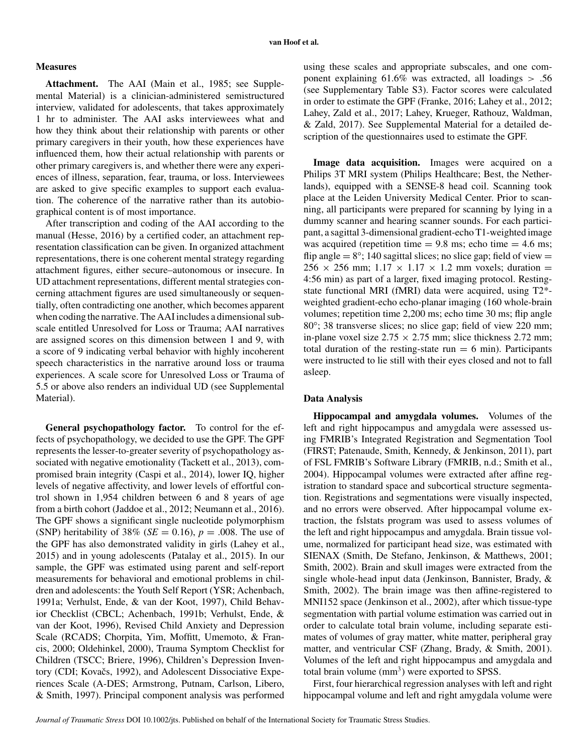# **Measures**

**Attachment.** The AAI (Main et al., 1985; see Supplemental Material) is a clinician-administered semistructured interview, validated for adolescents, that takes approximately 1 hr to administer. The AAI asks interviewees what and how they think about their relationship with parents or other primary caregivers in their youth, how these experiences have influenced them, how their actual relationship with parents or other primary caregivers is, and whether there were any experiences of illness, separation, fear, trauma, or loss. Interviewees are asked to give specific examples to support each evaluation. The coherence of the narrative rather than its autobiographical content is of most importance.

After transcription and coding of the AAI according to the manual (Hesse, 2016) by a certified coder, an attachment representation classification can be given. In organized attachment representations, there is one coherent mental strategy regarding attachment figures, either secure–autonomous or insecure. In UD attachment representations, different mental strategies concerning attachment figures are used simultaneously or sequentially, often contradicting one another, which becomes apparent when coding the narrative. The AAI includes a dimensional subscale entitled Unresolved for Loss or Trauma; AAI narratives are assigned scores on this dimension between 1 and 9, with a score of 9 indicating verbal behavior with highly incoherent speech characteristics in the narrative around loss or trauma experiences. A scale score for Unresolved Loss or Trauma of 5.5 or above also renders an individual UD (see Supplemental Material).

**General psychopathology factor.** To control for the effects of psychopathology, we decided to use the GPF. The GPF represents the lesser-to-greater severity of psychopathology associated with negative emotionality (Tackett et al., 2013), compromised brain integrity (Caspi et al., 2014), lower IQ, higher levels of negative affectivity, and lower levels of effortful control shown in 1,954 children between 6 and 8 years of age from a birth cohort (Jaddoe et al., 2012; Neumann et al., 2016). The GPF shows a significant single nucleotide polymorphism (SNP) heritability of 38% ( $SE = 0.16$ ),  $p = .008$ . The use of the GPF has also demonstrated validity in girls (Lahey et al., 2015) and in young adolescents (Patalay et al., 2015). In our sample, the GPF was estimated using parent and self-report measurements for behavioral and emotional problems in children and adolescents: the Youth Self Report (YSR; Achenbach, 1991a; Verhulst, Ende, & van der Koot, 1997), Child Behavior Checklist (CBCL; Achenbach, 1991b; Verhulst, Ende, & van der Koot, 1996), Revised Child Anxiety and Depression Scale (RCADS; Chorpita, Yim, Moffitt, Umemoto, & Francis, 2000; Oldehinkel, 2000), Trauma Symptom Checklist for Children (TSCC; Briere, 1996), Children's Depression Inventory (CDI; Kovačs, 1992), and Adolescent Dissociative Experiences Scale (A-DES; Armstrong, Putnam, Carlson, Libero, & Smith, 1997). Principal component analysis was performed using these scales and appropriate subscales, and one component explaining 61.6% was extracted, all loadings > .56 (see Supplementary Table S3). Factor scores were calculated in order to estimate the GPF (Franke, 2016; Lahey et al., 2012; Lahey, Zald et al., 2017; Lahey, Krueger, Rathouz, Waldman, & Zald, 2017). See Supplemental Material for a detailed description of the questionnaires used to estimate the GPF.

**Image data acquisition.** Images were acquired on a Philips 3T MRI system (Philips Healthcare; Best, the Netherlands), equipped with a SENSE-8 head coil. Scanning took place at the Leiden University Medical Center. Prior to scanning, all participants were prepared for scanning by lying in a dummy scanner and hearing scanner sounds. For each participant, a sagittal 3-dimensional gradient-echo T1-weighted image was acquired (repetition time  $= 9.8$  ms; echo time  $= 4.6$  ms; flip angle  $= 8^\circ$ ; 140 sagittal slices; no slice gap; field of view  $=$  $256 \times 256$  mm;  $1.17 \times 1.17 \times 1.2$  mm voxels; duration = 4:56 min) as part of a larger, fixed imaging protocol. Restingstate functional MRI (fMRI) data were acquired, using T2\* weighted gradient-echo echo-planar imaging (160 whole-brain volumes; repetition time 2,200 ms; echo time 30 ms; flip angle 80°; 38 transverse slices; no slice gap; field of view 220 mm; in-plane voxel size  $2.75 \times 2.75$  mm; slice thickness 2.72 mm; total duration of the resting-state run  $= 6$  min). Participants were instructed to lie still with their eyes closed and not to fall asleep.

## **Data Analysis**

**Hippocampal and amygdala volumes.** Volumes of the left and right hippocampus and amygdala were assessed using FMRIB's Integrated Registration and Segmentation Tool (FIRST; Patenaude, Smith, Kennedy, & Jenkinson, 2011), part of FSL FMRIB's Software Library (FMRIB, n.d.; Smith et al., 2004). Hippocampal volumes were extracted after affine registration to standard space and subcortical structure segmentation. Registrations and segmentations were visually inspected, and no errors were observed. After hippocampal volume extraction, the fslstats program was used to assess volumes of the left and right hippocampus and amygdala. Brain tissue volume, normalized for participant head size, was estimated with SIENAX (Smith, De Stefano, Jenkinson, & Matthews, 2001; Smith, 2002). Brain and skull images were extracted from the single whole-head input data (Jenkinson, Bannister, Brady, & Smith, 2002). The brain image was then affine-registered to MNI152 space (Jenkinson et al., 2002), after which tissue-type segmentation with partial volume estimation was carried out in order to calculate total brain volume, including separate estimates of volumes of gray matter, white matter, peripheral gray matter, and ventricular CSF (Zhang, Brady, & Smith, 2001). Volumes of the left and right hippocampus and amygdala and total brain volume  $(mm<sup>3</sup>)$  were exported to SPSS.

First, four hierarchical regression analyses with left and right hippocampal volume and left and right amygdala volume were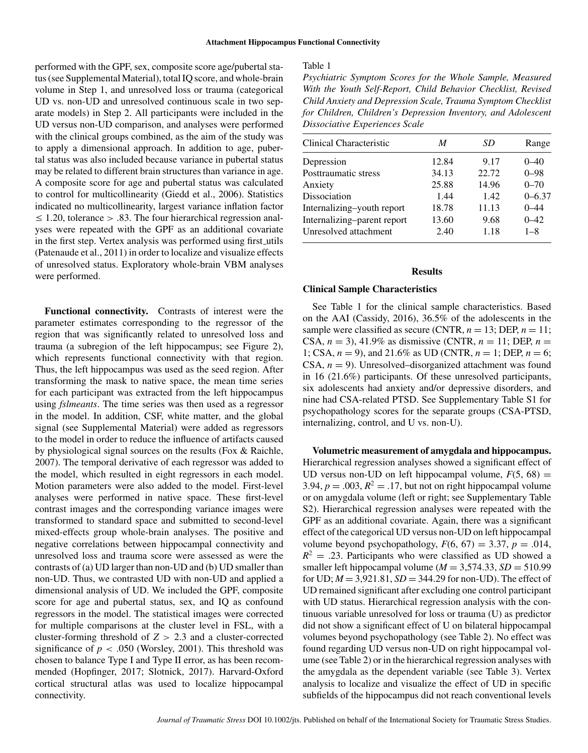performed with the GPF, sex, composite score age/pubertal status (see Supplemental Material), total IQ score, and whole-brain volume in Step 1, and unresolved loss or trauma (categorical UD vs. non-UD and unresolved continuous scale in two separate models) in Step 2. All participants were included in the UD versus non-UD comparison, and analyses were performed with the clinical groups combined, as the aim of the study was to apply a dimensional approach. In addition to age, pubertal status was also included because variance in pubertal status may be related to different brain structures than variance in age. A composite score for age and pubertal status was calculated to control for multicollinearity (Giedd et al., 2006). Statistics indicated no multicollinearity, largest variance inflation factor  $\leq$  1.20, tolerance  $>$  .83. The four hierarchical regression analyses were repeated with the GPF as an additional covariate in the first step. Vertex analysis was performed using first utils (Patenaude et al., 2011) in order to localize and visualize effects of unresolved status. Exploratory whole-brain VBM analyses were performed.

**Functional connectivity.** Contrasts of interest were the parameter estimates corresponding to the regressor of the region that was significantly related to unresolved loss and trauma (a subregion of the left hippocampus; see Figure 2), which represents functional connectivity with that region. Thus, the left hippocampus was used as the seed region. After transforming the mask to native space, the mean time series for each participant was extracted from the left hippocampus using *fslmeants*. The time series was then used as a regressor in the model. In addition, CSF, white matter, and the global signal (see Supplemental Material) were added as regressors to the model in order to reduce the influence of artifacts caused by physiological signal sources on the results (Fox & Raichle, 2007). The temporal derivative of each regressor was added to the model, which resulted in eight regressors in each model. Motion parameters were also added to the model. First-level analyses were performed in native space. These first-level contrast images and the corresponding variance images were transformed to standard space and submitted to second-level mixed-effects group whole-brain analyses. The positive and negative correlations between hippocampal connectivity and unresolved loss and trauma score were assessed as were the contrasts of (a) UD larger than non-UD and (b) UD smaller than non-UD. Thus, we contrasted UD with non-UD and applied a dimensional analysis of UD. We included the GPF, composite score for age and pubertal status, sex, and IQ as confound regressors in the model. The statistical images were corrected for multiple comparisons at the cluster level in FSL, with a cluster-forming threshold of *Z* > 2.3 and a cluster-corrected significance of  $p < .050$  (Worsley, 2001). This threshold was chosen to balance Type I and Type II error, as has been recommended (Hopfinger, 2017; Slotnick, 2017). Harvard-Oxford cortical structural atlas was used to localize hippocampal connectivity.

#### Table 1

*Psychiatric Symptom Scores for the Whole Sample, Measured With the Youth Self-Report, Child Behavior Checklist, Revised Child Anxiety and Depression Scale, Trauma Symptom Checklist for Children, Children's Depression Inventory, and Adolescent Dissociative Experiences Scale*

| Clinical Characteristic     | M     | SD    | Range      |
|-----------------------------|-------|-------|------------|
| Depression                  | 12.84 | 9.17  | $0 - 40$   |
| Posttraumatic stress        | 34.13 | 22.72 | $0 - 98$   |
| Anxiety                     | 25.88 | 14.96 | $0 - 70$   |
| Dissociation                | 1.44  | 1.42  | $0 - 6.37$ |
| Internalizing-youth report  | 18.78 | 11.13 | $0 - 44$   |
| Internalizing-parent report | 13.60 | 9.68  | $0 - 42$   |
| Unresolved attachment       | 2.40  | 1.18  | $1 - 8$    |

# **Results**

## **Clinical Sample Characteristics**

See Table 1 for the clinical sample characteristics. Based on the AAI (Cassidy, 2016), 36.5% of the adolescents in the sample were classified as secure (CNTR,  $n = 13$ ; DEP,  $n = 11$ ; CSA,  $n = 3$ ), 41.9% as dismissive (CNTR,  $n = 11$ ; DEP,  $n =$ 1; CSA, *n* = 9), and 21.6% as UD (CNTR, *n* = 1; DEP, *n* = 6; CSA,  $n = 9$ ). Unresolved–disorganized attachment was found in 16 (21.6%) participants. Of these unresolved participants, six adolescents had anxiety and/or depressive disorders, and nine had CSA-related PTSD. See Supplementary Table S1 for psychopathology scores for the separate groups (CSA-PTSD, internalizing, control, and U vs. non-U).

**Volumetric measurement of amygdala and hippocampus.** Hierarchical regression analyses showed a significant effect of UD versus non-UD on left hippocampal volume,  $F(5, 68) =$ 3.94,  $p = .003$ ,  $R^2 = .17$ , but not on right hippocampal volume or on amygdala volume (left or right; see Supplementary Table S2). Hierarchical regression analyses were repeated with the GPF as an additional covariate. Again, there was a significant effect of the categorical UD versus non-UD on left hippocampal volume beyond psychopathology,  $F(6, 67) = 3.37$ ,  $p = .014$ ,  $R^2 = .23$ . Participants who were classified as UD showed a smaller left hippocampal volume ( $M = 3,574.33$ ,  $SD = 510.99$ ) for UD;  $M = 3,921.81$ ,  $SD = 344.29$  for non-UD). The effect of UD remained significant after excluding one control participant with UD status. Hierarchical regression analysis with the continuous variable unresolved for loss or trauma (U) as predictor did not show a significant effect of U on bilateral hippocampal volumes beyond psychopathology (see Table 2). No effect was found regarding UD versus non-UD on right hippocampal volume (see Table 2) or in the hierarchical regression analyses with the amygdala as the dependent variable (see Table 3). Vertex analysis to localize and visualize the effect of UD in specific subfields of the hippocampus did not reach conventional levels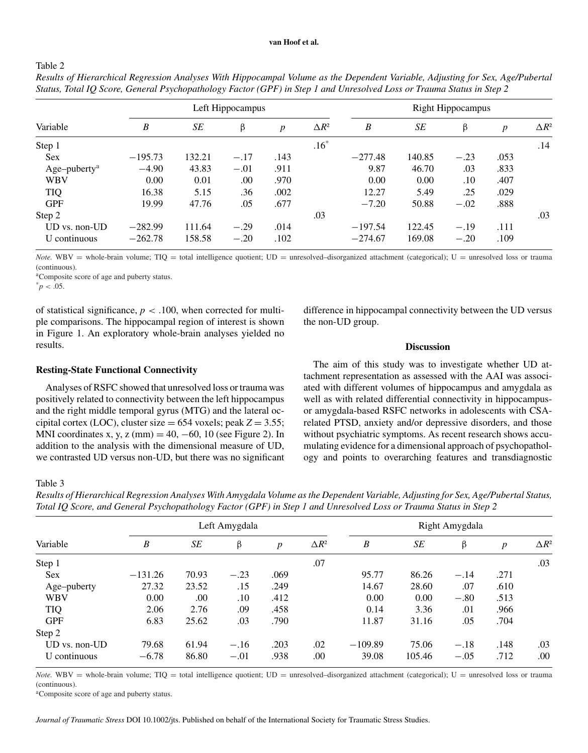#### **van Hoof et al.**

*Status, Total IQ Score, General Psychopathology Factor (GPF) in Step 1 and Unresolved Loss or Trauma Status in Step 2* Left Hippocampus Right Hippocampus Variable *B SE* β *p* -*R*<sup>2</sup> *B SE* β *p*  $Δ$  $\triangle R^2$ Step 1  $16^*$  .14 Sex −195.73 132.21 −.17 .143 −277.48 140.85 −.23 .053 Age–puberty<sup>a</sup> −4.90 43.83 −.01 .911 9.87 46.70 .03 .833 WBV 0.00 0.01 .00 .970 0.00 0.00 .10 .407 TIQ 16.38 5.15 .36 .002 12.27 5.49 .25 .029 GPF 19.99 47.76 .05 .677 −7.20 50.88 −.02 .888 Step 2  $.03$   $.03$ UD vs. non-UD  $-282.99$  111.64  $-.29$  .014  $-197.54$  122.45  $-.19$  .111

*Note.* WBV = whole-brain volume; TIQ = total intelligence quotient; UD = unresolved-disorganized attachment (categorical); U = unresolved loss or trauma (continuous).

aComposite score of age and puberty status.

 $^{*}p < .05$ .

of statistical significance,  $p < .100$ , when corrected for multiple comparisons. The hippocampal region of interest is shown in Figure 1. An exploratory whole-brain analyses yielded no results.

difference in hippocampal connectivity between the UD versus the non-UD group.

## **Discussion**

## **Resting-State Functional Connectivity**

Analyses of RSFC showed that unresolved loss or trauma was positively related to connectivity between the left hippocampus and the right middle temporal gyrus (MTG) and the lateral occipital cortex (LOC), cluster size  $= 654$  voxels; peak  $Z = 3.55$ ; MNI coordinates x, y, z (mm) = 40,  $-60$ , 10 (see Figure 2). In addition to the analysis with the dimensional measure of UD, we contrasted UD versus non-UD, but there was no significant

The aim of this study was to investigate whether UD attachment representation as assessed with the AAI was associated with different volumes of hippocampus and amygdala as well as with related differential connectivity in hippocampusor amygdala-based RSFC networks in adolescents with CSArelated PTSD, anxiety and/or depressive disorders, and those without psychiatric symptoms. As recent research shows accumulating evidence for a dimensional approach of psychopathology and points to overarching features and transdiagnostic

#### Table 3

*Results of Hierarchical Regression Analyses With Amygdala Volume as the Dependent Variable, Adjusting for Sex, Age/Pubertal Status, Total IQ Score, and General Psychopathology Factor (GPF) in Step 1 and Unresolved Loss or Trauma Status in Step 2*

| Variable           | Left Amygdala    |       |        |      |              | Right Amygdala   |        |        |                  |              |
|--------------------|------------------|-------|--------|------|--------------|------------------|--------|--------|------------------|--------------|
|                    | $\boldsymbol{B}$ | SE    | β      | p    | $\Delta R^2$ | $\boldsymbol{B}$ | SE     | β      | $\boldsymbol{p}$ | $\Delta R^2$ |
| Step 1             |                  |       |        |      | .07          |                  |        |        |                  | .03          |
| <b>Sex</b>         | $-131.26$        | 70.93 | $-.23$ | .069 |              | 95.77            | 86.26  | $-.14$ | .271             |              |
| Age-puberty        | 27.32            | 23.52 | .15    | .249 |              | 14.67            | 28.60  | .07    | .610             |              |
| <b>WBV</b>         | 0.00             | .00   | .10    | .412 |              | 0.00             | 0.00   | $-.80$ | .513             |              |
| <b>TIQ</b>         | 2.06             | 2.76  | .09    | .458 |              | 0.14             | 3.36   | .01    | .966             |              |
| <b>GPF</b>         | 6.83             | 25.62 | .03    | .790 |              | 11.87            | 31.16  | .05    | .704             |              |
| Step 2             |                  |       |        |      |              |                  |        |        |                  |              |
| $UD$ vs. non- $UD$ | 79.68            | 61.94 | $-.16$ | .203 | .02          | $-109.89$        | 75.06  | $-.18$ | .148             | .03          |
| U continuous       | $-6.78$          | 86.80 | $-.01$ | .938 | .00          | 39.08            | 105.46 | $-.05$ | .712             | .00          |

*Note.* WBV = whole-brain volume;  $TIQ = total$  intelligence quotient;  $UD =$  unresolved-disorganized attachment (categorical);  $U =$  unresolved loss or trauma (continuous).

<sup>a</sup>Composite score of age and puberty status.

*Journal of Traumatic Stress* DOI 10.1002/jts. Published on behalf of the International Society for Traumatic Stress Studies.

Table 2 *Results of Hierarchical Regression Analyses With Hippocampal Volume as the Dependent Variable, Adjusting for Sex, Age/Pubertal*

| Variable                                                                                                                                                          | B         | <b>SE</b> | β      | $\boldsymbol{p}$ | $\Delta R^2$ | B         | SЕ     | β      | p    |  |
|-------------------------------------------------------------------------------------------------------------------------------------------------------------------|-----------|-----------|--------|------------------|--------------|-----------|--------|--------|------|--|
| Step 1                                                                                                                                                            |           |           |        |                  | $.16^*$      |           |        |        |      |  |
| <b>Sex</b>                                                                                                                                                        | $-195.73$ | 132.21    | $-.17$ | .143             |              | $-277.48$ | 140.85 | $-.23$ | .053 |  |
| $Age$ -puberty <sup>a</sup>                                                                                                                                       | $-4.90$   | 43.83     | $-.01$ | .911             |              | 9.87      | 46.70  | .03    | .833 |  |
| <b>WBV</b>                                                                                                                                                        | 0.00      | 0.01      | .00    | .970             |              | 0.00      | 0.00   | .10    | .407 |  |
| <b>TIO</b>                                                                                                                                                        | 16.38     | 5.15      | .36    | .002             |              | 12.27     | 5.49   | .25    | .029 |  |
| <b>GPF</b>                                                                                                                                                        | 19.99     | 47.76     | .05    | .677             |              | $-7.20$   | 50.88  | $-.02$ | .888 |  |
| Step 2                                                                                                                                                            |           |           |        |                  | .03          |           |        |        |      |  |
| $UD$ vs. non- $UD$                                                                                                                                                | $-282.99$ | 111.64    | $-.29$ | .014             |              | $-197.54$ | 122.45 | $-.19$ | .111 |  |
| U continuous                                                                                                                                                      | $-262.78$ | 158.58    | $-.20$ | .102             |              | $-274.67$ | 169.08 | $-.20$ | .109 |  |
| <i>Note.</i> WBV = whole-brain volume; $TIO$ = total intelligence quotient; $UD$ = unresolved-disorganized attachment (categorical); $U$ = unresolved loss or tra |           |           |        |                  |              |           |        |        |      |  |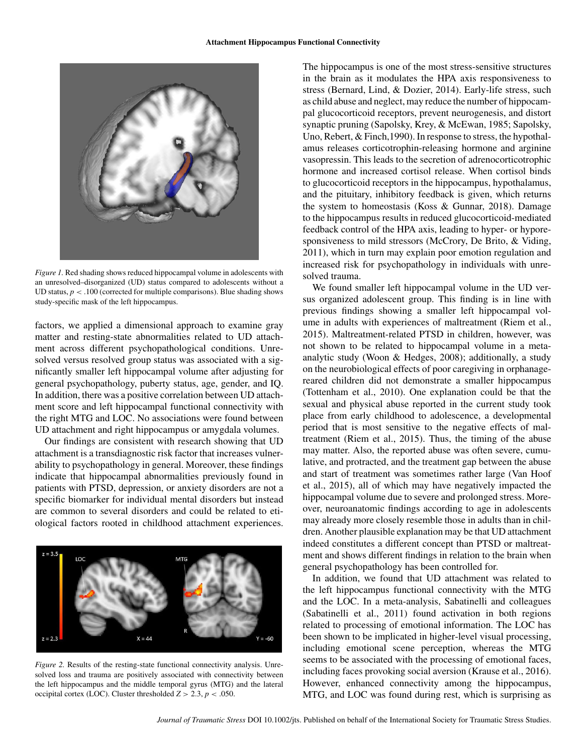

*Figure 1.* Red shading shows reduced hippocampal volume in adolescents with an unresolved–disorganized (UD) status compared to adolescents without a UD status,  $p < .100$  (corrected for multiple comparisons). Blue shading shows study-specific mask of the left hippocampus.

factors, we applied a dimensional approach to examine gray matter and resting-state abnormalities related to UD attachment across different psychopathological conditions. Unresolved versus resolved group status was associated with a significantly smaller left hippocampal volume after adjusting for general psychopathology, puberty status, age, gender, and IQ. In addition, there was a positive correlation between UD attachment score and left hippocampal functional connectivity with the right MTG and LOC. No associations were found between UD attachment and right hippocampus or amygdala volumes.

Our findings are consistent with research showing that UD attachment is a transdiagnostic risk factor that increases vulnerability to psychopathology in general. Moreover, these findings indicate that hippocampal abnormalities previously found in patients with PTSD, depression, or anxiety disorders are not a specific biomarker for individual mental disorders but instead are common to several disorders and could be related to etiological factors rooted in childhood attachment experiences.



*Figure 2.* Results of the resting-state functional connectivity analysis. Unresolved loss and trauma are positively associated with connectivity between the left hippocampus and the middle temporal gyrus (MTG) and the lateral occipital cortex (LOC). Cluster thresholded  $Z > 2.3$ ,  $p < .050$ .

The hippocampus is one of the most stress-sensitive structures in the brain as it modulates the HPA axis responsiveness to stress (Bernard, Lind, & Dozier, 2014). Early-life stress, such as child abuse and neglect, may reduce the number of hippocampal glucocorticoid receptors, prevent neurogenesis, and distort synaptic pruning (Sapolsky, Krey, & McEwan, 1985; Sapolsky, Uno, Rebert, & Finch,1990). In response to stress, the hypothalamus releases corticotrophin-releasing hormone and arginine vasopressin. This leads to the secretion of adrenocorticotrophic hormone and increased cortisol release. When cortisol binds to glucocorticoid receptors in the hippocampus, hypothalamus, and the pituitary, inhibitory feedback is given, which returns the system to homeostasis (Koss & Gunnar, 2018). Damage to the hippocampus results in reduced glucocorticoid-mediated feedback control of the HPA axis, leading to hyper- or hyporesponsiveness to mild stressors (McCrory, De Brito, & Viding, 2011), which in turn may explain poor emotion regulation and increased risk for psychopathology in individuals with unresolved trauma.

We found smaller left hippocampal volume in the UD versus organized adolescent group. This finding is in line with previous findings showing a smaller left hippocampal volume in adults with experiences of maltreatment (Riem et al., 2015). Maltreatment-related PTSD in children, however, was not shown to be related to hippocampal volume in a metaanalytic study (Woon & Hedges, 2008); additionally, a study on the neurobiological effects of poor caregiving in orphanagereared children did not demonstrate a smaller hippocampus (Tottenham et al., 2010). One explanation could be that the sexual and physical abuse reported in the current study took place from early childhood to adolescence, a developmental period that is most sensitive to the negative effects of maltreatment (Riem et al., 2015). Thus, the timing of the abuse may matter. Also, the reported abuse was often severe, cumulative, and protracted, and the treatment gap between the abuse and start of treatment was sometimes rather large (Van Hoof et al., 2015), all of which may have negatively impacted the hippocampal volume due to severe and prolonged stress. Moreover, neuroanatomic findings according to age in adolescents may already more closely resemble those in adults than in children. Another plausible explanation may be that UD attachment indeed constitutes a different concept than PTSD or maltreatment and shows different findings in relation to the brain when general psychopathology has been controlled for.

In addition, we found that UD attachment was related to the left hippocampus functional connectivity with the MTG and the LOC. In a meta-analysis, Sabatinelli and colleagues (Sabatinelli et al., 2011) found activation in both regions related to processing of emotional information. The LOC has been shown to be implicated in higher-level visual processing, including emotional scene perception, whereas the MTG seems to be associated with the processing of emotional faces, including faces provoking social aversion (Krause et al., 2016). However, enhanced connectivity among the hippocampus, MTG, and LOC was found during rest, which is surprising as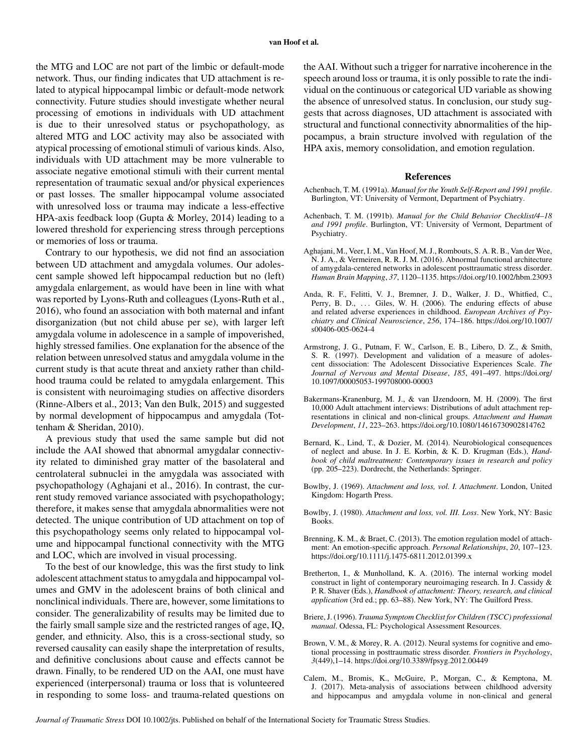the MTG and LOC are not part of the limbic or default-mode network. Thus, our finding indicates that UD attachment is related to atypical hippocampal limbic or default-mode network connectivity. Future studies should investigate whether neural processing of emotions in individuals with UD attachment is due to their unresolved status or psychopathology, as altered MTG and LOC activity may also be associated with atypical processing of emotional stimuli of various kinds. Also, individuals with UD attachment may be more vulnerable to associate negative emotional stimuli with their current mental representation of traumatic sexual and/or physical experiences or past losses. The smaller hippocampal volume associated with unresolved loss or trauma may indicate a less-effective HPA-axis feedback loop (Gupta & Morley, 2014) leading to a lowered threshold for experiencing stress through perceptions or memories of loss or trauma.

Contrary to our hypothesis, we did not find an association between UD attachment and amygdala volumes. Our adolescent sample showed left hippocampal reduction but no (left) amygdala enlargement, as would have been in line with what was reported by Lyons-Ruth and colleagues (Lyons-Ruth et al., 2016), who found an association with both maternal and infant disorganization (but not child abuse per se), with larger left amygdala volume in adolescence in a sample of impoverished, highly stressed families. One explanation for the absence of the relation between unresolved status and amygdala volume in the current study is that acute threat and anxiety rather than childhood trauma could be related to amygdala enlargement. This is consistent with neuroimaging studies on affective disorders (Rinne-Albers et al., 2013; Van den Bulk, 2015) and suggested by normal development of hippocampus and amygdala (Tottenham & Sheridan, 2010).

A previous study that used the same sample but did not include the AAI showed that abnormal amygdalar connectivity related to diminished gray matter of the basolateral and centrolateral subnuclei in the amygdala was associated with psychopathology (Aghajani et al., 2016). In contrast, the current study removed variance associated with psychopathology; therefore, it makes sense that amygdala abnormalities were not detected. The unique contribution of UD attachment on top of this psychopathology seems only related to hippocampal volume and hippocampal functional connectivity with the MTG and LOC, which are involved in visual processing.

To the best of our knowledge, this was the first study to link adolescent attachment status to amygdala and hippocampal volumes and GMV in the adolescent brains of both clinical and nonclinical individuals. There are, however, some limitations to consider. The generalizability of results may be limited due to the fairly small sample size and the restricted ranges of age, IQ, gender, and ethnicity. Also, this is a cross-sectional study, so reversed causality can easily shape the interpretation of results, and definitive conclusions about cause and effects cannot be drawn. Finally, to be rendered UD on the AAI, one must have experienced (interpersonal) trauma or loss that is volunteered in responding to some loss- and trauma-related questions on

the AAI. Without such a trigger for narrative incoherence in the speech around loss or trauma, it is only possible to rate the individual on the continuous or categorical UD variable as showing the absence of unresolved status. In conclusion, our study suggests that across diagnoses, UD attachment is associated with structural and functional connectivity abnormalities of the hippocampus, a brain structure involved with regulation of the HPA axis, memory consolidation, and emotion regulation.

### **References**

- Achenbach, T. M. (1991a). *Manual for the Youth Self-Report and 1991 profile*. Burlington, VT: University of Vermont, Department of Psychiatry.
- Achenbach, T. M. (1991b). *Manual for the Child Behavior Checklist/4–18 and 1991 profile*. Burlington, VT: University of Vermont, Department of Psychiatry.
- Aghajani, M., Veer, I. M., Van Hoof, M. J., Rombouts, S. A. R. B., Van der Wee, N. J. A., & Vermeiren, R. R. J. M. (2016). Abnormal functional architecture of amygdala-centered networks in adolescent posttraumatic stress disorder. *Human Brain Mapping*, *37*, 1120–1135.<https://doi.org/10.1002/hbm.23093>
- Anda, R. F., Felitti, V. J., Bremner, J. D., Walker, J. D., Whitfied, C., Perry, B. D., ... Giles, W. H. (2006). The enduring effects of abuse and related adverse experiences in childhood. *European Archives of Psychiatry and Clinical Neuroscience*, *256*, 174–186. [https://doi.org/10.1007/](https://doi.org/10.1007/s00406-005-0624-4) [s00406-005-0624-4](https://doi.org/10.1007/s00406-005-0624-4)
- Armstrong, J. G., Putnam, F. W., Carlson, E. B., Libero, D. Z., & Smith, S. R. (1997). Development and validation of a measure of adolescent dissociation: The Adolescent Dissociative Experiences Scale. *The Journal of Nervous and Mental Disease*, *185*, 491–497. [https://doi.org/](https://doi.org/10.1097/00005053-199708000-00003) [10.1097/00005053-199708000-00003](https://doi.org/10.1097/00005053-199708000-00003)
- Bakermans-Kranenburg, M. J., & van IJzendoorn, M. H. (2009). The first 10,000 Adult attachment interviews: Distributions of adult attachment representations in clinical and non-clinical groups. *Attachment and Human Development*, *11*, 223–263.<https://doi.org/10.1080/14616730902814762>
- Bernard, K., Lind, T., & Dozier, M. (2014). Neurobiological consequences of neglect and abuse. In J. E. Korbin, & K. D. Krugman (Eds.), *Handbook of child maltreatment: Contemporary issues in research and policy* (pp. 205–223). Dordrecht, the Netherlands: Springer.
- Bowlby, J. (1969). *Attachment and loss, vol. I. Attachment*. London, United Kingdom: Hogarth Press.
- Bowlby, J. (1980). *Attachment and loss, vol. III. Loss*. New York, NY: Basic Books.
- Brenning, K. M., & Braet, C. (2013). The emotion regulation model of attachment: An emotion-specific approach. *Personal Relationships*, *20*, 107–123. <https://doi.org/10.1111/j.1475-6811.2012.01399.x>
- Bretherton, I., & Munholland, K. A. (2016). The internal working model construct in light of contemporary neuroimaging research. In J. Cassidy & P. R. Shaver (Eds.), *Handbook of attachment: Theory, research, and clinical application* (3rd ed.; pp. 63–88). New York, NY: The Guilford Press.
- Briere, J. (1996). *Trauma Symptom Checklist for Children (TSCC) professional manual*. Odessa, FL: Psychological Assessment Resources.
- Brown, V. M., & Morey, R. A. (2012). Neural systems for cognitive and emotional processing in posttraumatic stress disorder. *Frontiers in Psychology*, *3*(449),1–14.<https://doi.org/10.3389/fpsyg.2012.00449>
- Calem, M., Bromis, K., McGuire, P., Morgan, C., & Kemptona, M. J. (2017). Meta-analysis of associations between childhood adversity and hippocampus and amygdala volume in non-clinical and general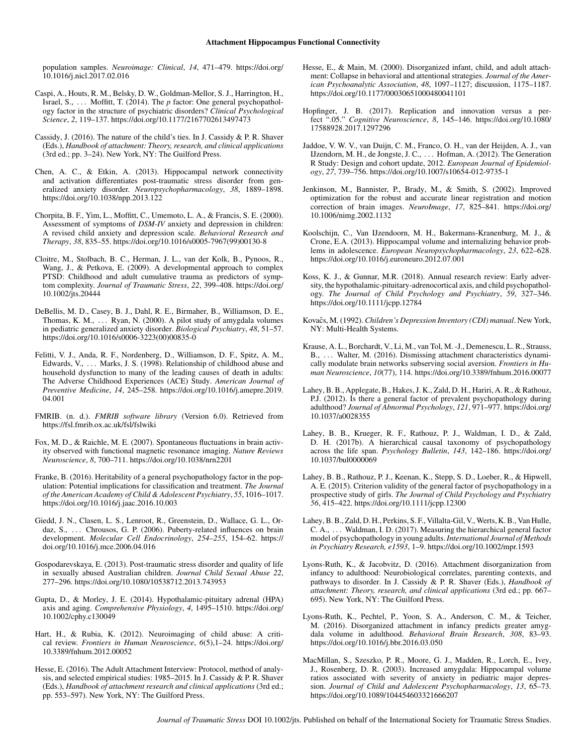population samples. *Neuroimage: Clinical*, *14*, 471–479. [https://doi.org/](https://doi.org/10.1016/j.nicl.2017.02.016) [10.1016/j.nicl.2017.02.016](https://doi.org/10.1016/j.nicl.2017.02.016)

- Caspi, A., Houts, R. M., Belsky, D. W., Goldman-Mellor, S. J., Harrington, H., Israel, S., . . . Moffitt, T. (2014). The *p* factor: One general psychopathology factor in the structure of psychiatric disorders? *Clinical Psychological Science*, *2*, 119–137.<https://doi.org/10.1177/2167702613497473>
- Cassidy, J. (2016). The nature of the child's ties. In J. Cassidy & P. R. Shaver (Eds.), *Handbook of attachment: Theory, research, and clinical applications* (3rd ed.; pp. 3–24). New York, NY: The Guilford Press.
- Chen, A. C., & Etkin, A. (2013). Hippocampal network connectivity and activation differentiates post-traumatic stress disorder from generalized anxiety disorder. *Neuropsychopharmacology*, *38*, 1889–1898. <https://doi.org/10.1038/npp.2013.122>
- Chorpita, B. F., Yim, L., Moffitt, C., Umemoto, L. A., & Francis, S. E. (2000). Assessment of symptoms of *DSM-IV* anxiety and depression in children: A revised child anxiety and depression scale. *Behavioral Research and Therapy*, *38*, 835–55. [https://doi.org/10.1016/s0005-7967\(99\)00130-8](https://doi.org/10.1016/s0005-7967(99)00130-8)
- Cloitre, M., Stolbach, B. C., Herman, J. L., van der Kolk, B., Pynoos, R., Wang, J., & Petkova, E. (2009). A developmental approach to complex PTSD: Childhood and adult cumulative trauma as predictors of symptom complexity. *Journal of Traumatic Stress*, *22*, 399–408. [https://doi.org/](https://doi.org/10.1002/jts.20444) [10.1002/jts.20444](https://doi.org/10.1002/jts.20444)
- DeBellis, M. D., Casey, B. J., Dahl, R. E., Birmaher, B., Williamson, D. E., Thomas, K. M., ... Ryan, N. (2000). A pilot study of amygdala volumes in pediatric generalized anxiety disorder. *Biological Psychiatry*, *48*, 51–57. [https://doi.org/10.1016/s0006-3223\(00\)00835-0](https://doi.org/10.1016/s0006-3223(00)00835-0)
- Felitti, V. J., Anda, R. F., Nordenberg, D., Williamson, D. F., Spitz, A. M., Edwards, V., ... Marks, J. S. (1998). Relationship of childhood abuse and household dysfunction to many of the leading causes of death in adults: The Adverse Childhood Experiences (ACE) Study. *American Journal of Preventive Medicine*, *14*, 245–258. [https://doi.org/10.1016/j.amepre.2019.](https://doi.org/10.1016/j.amepre.2019.04.001) [04.001](https://doi.org/10.1016/j.amepre.2019.04.001)
- FMRIB. (n. d.). *FMRIB software library* (Version 6.0). Retrieved from <https://fsl.fmrib.ox.ac.uk/fsl/fslwiki>
- Fox, M. D., & Raichle, M. E. (2007). Spontaneous fluctuations in brain activity observed with functional magnetic resonance imaging. *Nature Reviews Neuroscience*, *8*, 700–711.<https://doi.org/10.1038/nrn2201>
- Franke, B. (2016). Heritability of a general psychopathology factor in the population: Potential implications for classification and treatment. *The Journal of the American Academy of Child & Adolescent Psychiatry*, *55*, 1016–1017. <https://doi.org/10.1016/j.jaac.2016.10.003>
- Giedd, J. N., Clasen, L. S., Lenroot, R., Greenstein, D., Wallace, G. L., Ordaz, S., ... Chrousos, G. P. (2006). Puberty-related influences on brain development. *Molecular Cell Endocrinology*, *254–255*, 154–62. [https://](https://doi.org/10.1016/j.mce.2006.04.016) [doi.org/10.1016/j.mce.2006.04.016](https://doi.org/10.1016/j.mce.2006.04.016)
- Gospodarevskaya, E. (2013). Post-traumatic stress disorder and quality of life in sexually abused Australian children. *Journal Child Sexual Abuse 22*, 277–296.<https://doi.org/10.1080/10538712.2013.743953>
- Gupta, D., & Morley, J. E. (2014). Hypothalamic-pituitary adrenal (HPA) axis and aging. *Comprehensive Physiology*, *4*, 1495–1510. [https://doi.org/](https://doi.org/10.1002/cphy.c130049) [10.1002/cphy.c130049](https://doi.org/10.1002/cphy.c130049)
- Hart, H., & Rubia, K. (2012). Neuroimaging of child abuse: A critical review. *Frontiers in Human Neuroscience*, *6*(5),1–24. [https://doi.org/](https://doi.org/10.3389/fnhum.2012.00052) [10.3389/fnhum.2012.00052](https://doi.org/10.3389/fnhum.2012.00052)
- Hesse, E. (2016). The Adult Attachment Interview: Protocol, method of analysis, and selected empirical studies: 1985–2015. In J. Cassidy & P. R. Shaver (Eds.), *Handbook of attachment research and clinical applications* (3rd ed.; pp. 553–597). New York, NY: The Guilford Press.
- Hesse, E., & Main, M. (2000). Disorganized infant, child, and adult attachment: Collapse in behavioral and attentional strategies. *Journal of the American Psychoanalytic Association*, *48*, 1097–1127; discussion, 1175–1187. <https://doi.org/10.1177/00030651000480041101>
- Hopfinger, J. B. (2017). Replication and innovation versus a perfect ".05." *Cognitive Neuroscience*, *8*, 145–146. [https://doi.org/10.1080/](https://doi.org/10.1080/17588928.2017.1297296) [17588928.2017.1297296](https://doi.org/10.1080/17588928.2017.1297296)
- Jaddoe, V. W. V., van Duijn, C. M., Franco, O. H., van der Heijden, A. J., van IJzendorn, M. H., de Jongste, J. C., . . . Hofman, A. (2012). The Generation R Study: Design and cohort update, 2012. *European Journal of Epidemiology*, *27*, 739–756.<https://doi.org/10.1007/s10654-012-9735-1>
- Jenkinson, M., Bannister, P., Brady, M., & Smith, S. (2002). Improved optimization for the robust and accurate linear registration and motion correction of brain images. *NeuroImage*, *17*, 825–841. [https://doi.org/](https://doi.org/10.1006/nimg.2002.1132) [10.1006/nimg.2002.1132](https://doi.org/10.1006/nimg.2002.1132)
- Koolschijn, C., Van IJzendoorn, M. H., Bakermans-Kranenburg, M. J., & Crone, E.A. (2013). Hippocampal volume and internalizing behavior problems in adolescence. *European Neuropsychopharmacology*, *23*, 622–628. <https://doi.org/10.1016/j.euroneuro.2012.07.001>
- Koss, K. J., & Gunnar, M.R. (2018). Annual research review: Early adversity, the hypothalamic-pituitary-adrenocortical axis, and child psychopathology. *The Journal of Child Psychology and Psychiatry*, *59*, 327–346. <https://doi.org/10.1111/jcpp.12784>
- Kovačs, M. (1992). Children's Depression Inventory (CDI) manual. New York, NY: Multi-Health Systems.
- Krause, A. L., Borchardt, V., Li, M., van Tol, M. -J., Demenescu, L. R., Strauss, B., ... Walter, M. (2016). Dismissing attachment characteristics dynamically modulate brain networks subserving social aversion. *Frontiers in Human Neuroscience*, *10*(77), 114.<https://doi.org/10.3389/fnhum.2016.00077>
- Lahey, B. B., Applegate, B., Hakes, J. K., Zald, D. H., Hariri, A. R., & Rathouz, P.J. (2012). Is there a general factor of prevalent psychopathology during adulthood? *Journal of Abnormal Psychology*, *121*, 971–977. [https://doi.org/](https://doi.org/10.1037/a0028355) [10.1037/a0028355](https://doi.org/10.1037/a0028355)
- Lahey, B. B., Krueger, R. F., Rathouz, P. J., Waldman, I. D., & Zald, D. H. (2017b). A hierarchical causal taxonomy of psychopathology across the life span. *Psychology Bulletin*, *143*, 142–186. [https://doi.org/](https://doi.org/10.1037/bul0000069) [10.1037/bul0000069](https://doi.org/10.1037/bul0000069)
- Lahey, B. B., Rathouz, P. J., Keenan, K., Stepp, S. D., Loeber, R., & Hipwell, A. E. (2015). Criterion validity of the general factor of psychopathology in a prospective study of girls. *The Journal of Child Psychology and Psychiatry 56*, 415–422.<https://doi.org/10.1111/jcpp.12300>
- Lahey, B. B., Zald, D. H., Perkins, S. F., Villalta-Gil, V., Werts, K. B., Van Hulle, C. A., . . . Waldman, I. D. (2017). Measuring the hierarchical general factor model of psychopathology in young adults.*International Journal of Methods in Psychiatry Research, e1593*, 1–9.<https://doi.org/10.1002/mpr.1593>
- Lyons-Ruth, K., & Jacobvitz, D. (2016). Attachment disorganization from infancy to adulthood: Neurobiological correlates, parenting contexts, and pathways to disorder. In J. Cassidy & P. R. Shaver (Eds.), *Handbook of attachment: Theory, research, and clinical applications* (3rd ed.; pp. 667– 695). New York, NY: The Guilford Press.
- Lyons-Ruth, K., Pechtel, P., Yoon, S. A., Anderson, C. M., & Teicher, M. (2016). Disorganized attachment in infancy predicts greater amygdala volume in adulthood. *Behavioral Brain Research*, *308*, 83–93. <https://doi.org/10.1016/j.bbr.2016.03.050>
- MacMillan, S., Szeszko, P. R., Moore, G. J., Madden, R., Lorch, E., Ivey, J., Rosenberg, D. R. (2003). Increased amygdala: Hippocampal volume ratios associated with severity of anxiety in pediatric major depression. *Journal of Child and Adolescent Psychopharmacology*, *13*, 65–73. <https://doi.org/10.1089/104454603321666207>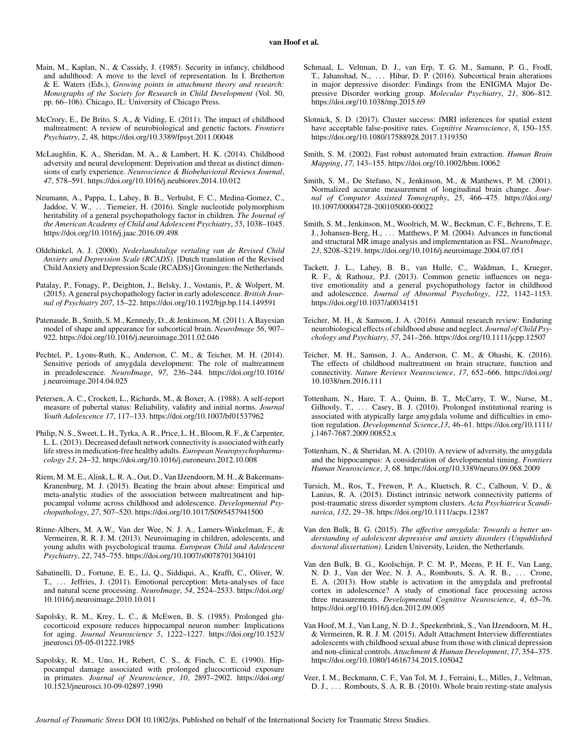- Main, M., Kaplan, N., & Cassidy, J. (1985). Security in infancy, childhood and adulthood: A move to the level of representation. In I. Bretherton & E. Waters (Eds.), *Growing points in attachment theory and research: Monographs of the Society for Research in Child Development* (Vol. 50, pp. 66–106). Chicago, IL: University of Chicago Press.
- McCrory, E., De Brito, S. A., & Viding, E. (2011). The impact of childhood maltreatment: A review of neurobiological and genetic factors. *Frontiers Psychiatry*, *2*, 48.<https://doi.org/10.3389/fpsyt.2011.00048>
- McLaughlin, K. A., Sheridan, M. A., & Lambert, H. K. (2014). Childhood adversity and neural development: Deprivation and threat as distinct dimensions of early experience. *Neuroscience & Biobehavioral Reviews Journal*, *47*, 578–591.<https://doi.org/10.1016/j.neubiorev.2014.10.012>
- Neumann, A., Pappa, I., Lahey, B. B., Verhulst, F. C., Medina-Gomez, C., Jaddoe, V. W., ... Tiemeier, H. (2016). Single nucleotide polymorphism heritability of a general psychopathology factor in children. *The Journal of the American Academy of Child and Adolescent Psychiatry*, *55*, 1038–1045. <https://doi.org/10.1016/j.jaac.2016.09.498>
- Oldehinkel, A. J. (2000). *Nederlandstalige vertaling van de Revised Child Anxiety and Depression Scale (RCADS)*. [Dutch translation of the Revised Child Anxiety and Depression Scale (RCADS)] Groningen: the Netherlands.
- Patalay, P., Fonagy, P., Deighton, J., Belsky, J., Vostanis, P., & Wolpert, M. (2015). A general psychopathology factor in early adolescence. *British Journal of Psychiatry 207*, 15–22.<https://doi.org/10.1192/bjp.bp.114.149591>
- Patenaude, B., Smith, S. M., Kennedy, D., & Jenkinson, M. (2011). A Bayesian model of shape and appearance for subcortical brain. *NeuroImage 56*, 907– 922.<https://doi.org/10.1016/j.neuroimage.2011.02.046>
- Pechtel, P., Lyons-Ruth, K., Anderson, C. M., & Teicher, M. H. (2014). Sensitive periods of amygdala development: The role of maltreatment in preadolescence. *NeuroImage*, *97*, 236–244. [https://doi.org/10.1016/](https://doi.org/10.1016/j.neuroimage.2014.04.025) [j.neuroimage.2014.04.025](https://doi.org/10.1016/j.neuroimage.2014.04.025)
- Petersen, A. C., Crockett, L., Richards, M., & Boxer, A. (1988). A self-report measure of pubertal status: Reliability, validity and initial norms. *Journal Youth Adolescence 17*, 117–133.<https://doi.org/10.1007/bf01537962>
- Philip, N. S., Sweet, L. H., Tyrka, A. R., Price, L. H., Bloom, R. F., & Carpenter, L. L. (2013). Decreased default network connectivity is associated with early life stress in medication-free healthy adults. *European Neuropsychopharmacology 23*, 24–32.<https://doi.org/10.1016/j.euroneuro.2012.10.008>
- Riem, M. M. E., Alink, L. R. A., Out, D., Van IJzendoorn, M. H., & Bakermans-Kranenburg, M. J. (2015). Beating the brain about abuse: Empirical and meta-analytic studies of the association between maltreatment and hippocampal volume across childhood and adolescence. *Developmental Psychopathology*, *27*, 507–520.<https://doi.org/10.1017/S095457941500>
- Rinne-Albers, M. A.W., Van der Wee, N. J. A., Lamers-Winkelman, F., & Vermeiren, R. R. J. M. (2013). Neuroimaging in children, adolescents, and young adults with psychological trauma. *European Child and Adolescent Psychiatry*, *22*, 745–755.<https://doi.org/10.1007/s0078701304101>
- Sabatinelli, D., Fortune, E. E., Li, Q., Siddiqui, A., Krafft, C., Oliver, W. T., ... Jeffries, J. (2011). Emotional perception: Meta-analyses of face and natural scene processing. *NeuroImage*, *54*, 2524–2533. [https://doi.org/](https://doi.org/10.1016/j.neuroimage.2010.10.011) [10.1016/j.neuroimage.2010.10.011](https://doi.org/10.1016/j.neuroimage.2010.10.011)
- Sapolsky, R. M., Krey, L. C., & McEwen, B. S. (1985). Prolonged glucocorticoid exposure reduces hippocampal neuron number: Implications for aging. *Journal Neuroscience 5*, 1222–1227. [https://doi.org/10.1523/](https://doi.org/10.1523/jneurosci.05-05-01222.1985) [jneurosci.05-05-01222.1985](https://doi.org/10.1523/jneurosci.05-05-01222.1985)
- Sapolsky, R. M., Uno, H., Rebert, C. S., & Finch, C. E. (1990). Hippocampal damage associated with prolonged glucocorticoid exposure in primates. *Journal of Neuroscience*, *10*, 2897–2902. [https://doi.org/](https://doi.org/10.1523/jneurosci.10-09-02897.1990) [10.1523/jneurosci.10-09-02897.1990](https://doi.org/10.1523/jneurosci.10-09-02897.1990)
- Schmaal, L. Veltman, D. J., van Erp, T. G. M., Samann, P. G., Frodl, T., Jahanshad, N., ... Hibar, D. P. (2016). Subcortical brain alterations in major depressive disorder: Findings from the ENIGMA Major Depressive Disorder working group. *Molecular Psychiatry*, *21*, 806–812. <https://doi.org/10.1038/mp.2015.69>
- Slotnick, S. D. (2017). Cluster success: fMRI inferences for spatial extent have acceptable false-positive rates. *Cognitive Neuroscience*, *8*, 150–155. <https://doi.org/10.1080/17588928.2017.1319350>
- Smith, S. M. (2002). Fast robust automated brain extraction. *Human Brain Mapping*, *17*, 143–155.<https://doi.org/10.1002/hbm.10062>
- Smith, S. M., De Stefano, N., Jenkinson, M., & Matthews, P. M. (2001). Normalized accurate measurement of longitudinal brain change. *Journal of Computer Assisted Tomography*, *25*, 466–475. [https://doi.org/](https://doi.org/10.1097/00004728-200105000-00022) [10.1097/00004728-200105000-00022](https://doi.org/10.1097/00004728-200105000-00022)
- Smith, S. M., Jenkinson, M., Woolrich, M. W., Beckman, C. F., Behrens, T. E. J., Johansen-Berg, H., ... Matthews, P. M. (2004). Advances in functional and structural MR image analysis and implementation as FSL. *NeuroImage*, *23*, S208–S219.<https://doi.org/10.1016/j.neuroimage.2004.07.051>
- Tackett, J. L., Lahey, B. B., van Hulle, C., Waldman, I., Krueger, R. F., & Rathouz, P.J. (2013). Common genetic influences on negative emotionality and a general psychopathology factor in childhood and adolescence. *Journal of Abnormal Psychology*, *122*, 1142–1153. <https://doi.org/10.1037/a0034151>
- Teicher, M. H., & Samson, J. A. (2016). Annual research review: Enduring neurobiological effects of childhood abuse and neglect. *Journal of Child Psychology and Psychiatry*, *57*, 241–266.<https://doi.org/10.1111/jcpp.12507>
- Teicher, M. H., Samson, J. A., Anderson, C. M., & Ohashi, K. (2016). The effects of childhood maltreatment on brain structure, function and connectivity. *Nature Reviews Neuroscience*, *17*, 652–666. [https://doi.org/](https://doi.org/10.1038/nrn.2016.111) [10.1038/nrn.2016.111](https://doi.org/10.1038/nrn.2016.111)
- Tottenham, N., Hare, T. A., Quinn, B. T., McCarry, T. W., Nurse, M., Gilhooly, T., ... Casey, B. J. (2010). Prolonged institutional rearing is associated with atypically large amygdala volume and difficulties in emotion regulation. *Developmental Science*,*13*, 46–61. [https://doi.org/10.1111/](https://doi.org/10.1111/j.1467-7687.2009.00852.x) [j.1467-7687.2009.00852.x](https://doi.org/10.1111/j.1467-7687.2009.00852.x)
- Tottenham, N., & Sheridan, M. A. (2010). A review of adversity, the amygdala and the hippocampus: A consideration of developmental timing. *Frontiers Human Neuroscience*, *3*, 68.<https://doi.org/10.3389/neuro.09.068.2009>
- Tursich, M., Ros, T., Frewen, P. A., Kluetsch, R. C., Calhoun, V. D., & Lanius, R. A. (2015). Distinct intrinsic network connectivity patterns of post-traumatic stress disorder symptom clusters. *Acta Psychiatrica Scandinavica*, *132*, 29–38.<https://doi.org/10.1111/acps.12387>
- Van den Bulk, B. G. (2015). *The affective amygdala: Towards a better understanding of adolescent depressive and anxiety disorders (Unpublished doctoral dissertation)*. Leiden University, Leiden, the Netherlands.
- Van den Bulk, B. G., Koolschijn, P. C. M. P., Meens, P. H. F., Van Lang, N. D. J., Van der Wee, N. J. A., Rombouts, S. A. R. B., ... Crone, E. A. (2013). How stable is activation in the amygdala and prefrontal cortex in adolescence? A study of emotional face processing across three measurements. *Developmental Cognitive Neuroscience*, *4*, 65–76. <https://doi.org/10.1016/j.dcn.2012.09.005>
- Van Hoof, M. J., Van Lang, N. D. J., Speekenbrink, S., Van IJzendoorn, M. H., & Vermeiren, R. R. J. M. (2015). Adult Attachment Interview differentiates adolescents with childhood sexual abuse from those with clinical depression and non-clinical controls. *Attachment & Human Development*, *17*, 354–375. <https://doi.org/10.1080/14616734.2015.105042>
- Veer, I. M., Beckmann, C. F., Van Tol, M. J., Ferraini, L., Milles, J., Veltman, D. J., ... Rombouts, S. A. R. B. (2010). Whole brain resting-state analysis